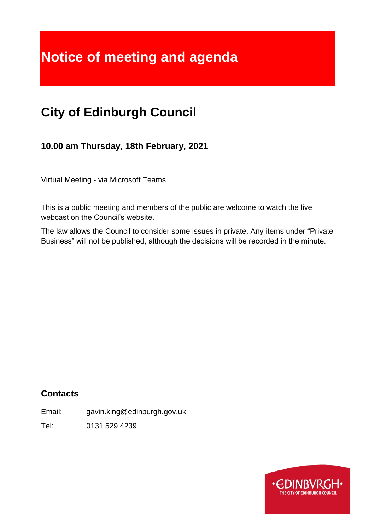# **Notice of meeting and agenda**

# **City of Edinburgh Council**

**10.00 am Thursday, 18th February, 2021**

Virtual Meeting - via Microsoft Teams

This is a public meeting and members of the public are welcome to watch the live webcast on the Council's website.

The law allows the Council to consider some issues in private. Any items under "Private Business" will not be published, although the decisions will be recorded in the minute.

# **Contacts**

Email: gavin.king@edinburgh.gov.uk

Tel: 0131 529 4239

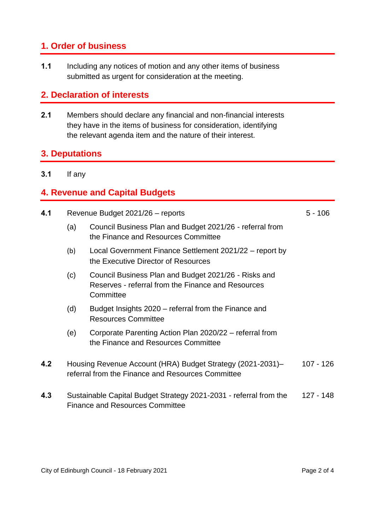#### **1. Order of business**

**1.1** Including any notices of motion and any other items of business submitted as urgent for consideration at the meeting.

#### **2. Declaration of interests**

**2.1** Members should declare any financial and non-financial interests they have in the items of business for consideration, identifying the relevant agenda item and the nature of their interest.

#### **3. Deputations**

**3.1** If any

#### **4. Revenue and Capital Budgets**

| 4.1 | Revenue Budget 2021/26 - reports                                                                                         |                                                                                                                         | $5 - 106$   |
|-----|--------------------------------------------------------------------------------------------------------------------------|-------------------------------------------------------------------------------------------------------------------------|-------------|
|     | (a)                                                                                                                      | Council Business Plan and Budget 2021/26 - referral from<br>the Finance and Resources Committee                         |             |
|     | (b)                                                                                                                      | Local Government Finance Settlement 2021/22 – report by<br>the Executive Director of Resources                          |             |
|     | (c)                                                                                                                      | Council Business Plan and Budget 2021/26 - Risks and<br>Reserves - referral from the Finance and Resources<br>Committee |             |
|     | (d)                                                                                                                      | Budget Insights 2020 – referral from the Finance and<br><b>Resources Committee</b>                                      |             |
|     | (e)                                                                                                                      | Corporate Parenting Action Plan 2020/22 – referral from<br>the Finance and Resources Committee                          |             |
| 4.2 | Housing Revenue Account (HRA) Budget Strategy (2021-2031)-<br>referral from the Finance and Resources Committee          |                                                                                                                         | $107 - 126$ |
| 4.3 | Sustainable Capital Budget Strategy 2021-2031 - referral from the<br>127 - 148<br><b>Finance and Resources Committee</b> |                                                                                                                         |             |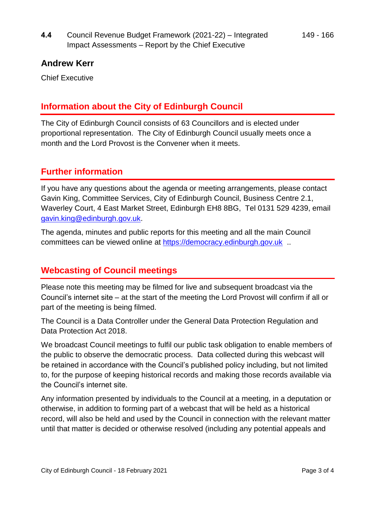#### **Andrew Kerr**

Chief Executive

### **Information about the City of Edinburgh Council**

The City of Edinburgh Council consists of 63 Councillors and is elected under proportional representation. The City of Edinburgh Council usually meets once a month and the Lord Provost is the Convener when it meets.

#### **Further information**

If you have any questions about the agenda or meeting arrangements, please contact Gavin King, Committee Services, City of Edinburgh Council, Business Centre 2.1, Waverley Court, 4 East Market Street, Edinburgh EH8 8BG, Tel 0131 529 4239, email [gavin.king@edinburgh.gov.uk.](mailto:gavin.king@edinburgh.gov.uk)

The agenda, minutes and public reports for this meeting and all the main Council committees can be viewed online at [https://democracy.edinburgh.gov.uk](https://democracy.edinburgh.gov.uk/) ...

## **Webcasting of Council meetings**

Please note this meeting may be filmed for live and subsequent broadcast via the Council's internet site – at the start of the meeting the Lord Provost will confirm if all or part of the meeting is being filmed.

The Council is a Data Controller under the General Data Protection Regulation and Data Protection Act 2018.

We broadcast Council meetings to fulfil our public task obligation to enable members of the public to observe the democratic process. Data collected during this webcast will be retained in accordance with the Council's published policy including, but not limited to, for the purpose of keeping historical records and making those records available via the Council's internet site.

Any information presented by individuals to the Council at a meeting, in a deputation or otherwise, in addition to forming part of a webcast that will be held as a historical record, will also be held and used by the Council in connection with the relevant matter until that matter is decided or otherwise resolved (including any potential appeals and